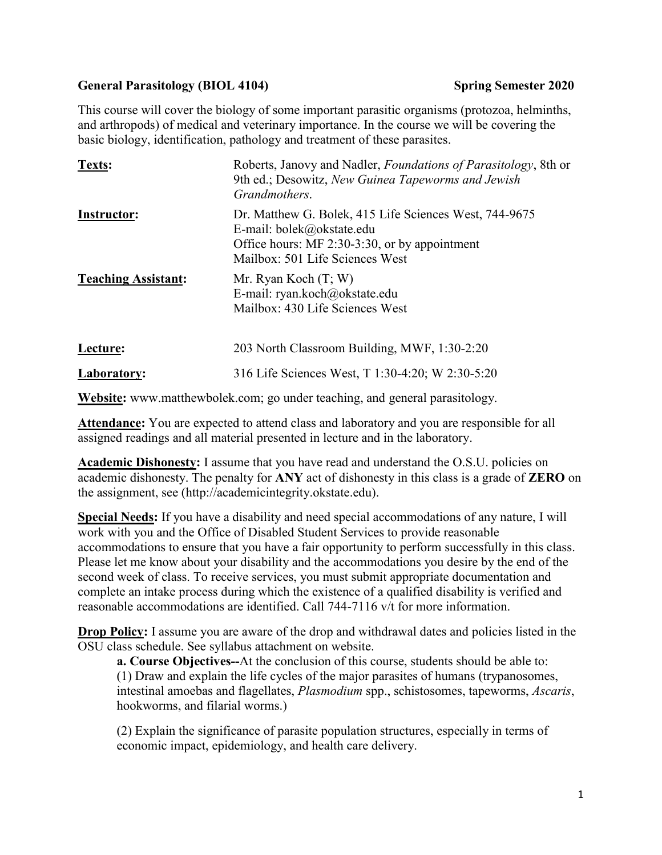## General Parasitology (BIOL 4104) Spring Semester 2020

This course will cover the biology of some important parasitic organisms (protozoa, helminths, and arthropods) of medical and veterinary importance. In the course we will be covering the basic biology, identification, pathology and treatment of these parasites.

| Texts:                     | Roberts, Janovy and Nadler, <i>Foundations of Parasitology</i> , 8th or<br>9th ed.; Desowitz, New Guinea Tapeworms and Jewish<br>Grandmothers.                          |
|----------------------------|-------------------------------------------------------------------------------------------------------------------------------------------------------------------------|
| Instructor:                | Dr. Matthew G. Bolek, 415 Life Sciences West, 744-9675<br>E-mail: bolek@okstate.edu<br>Office hours: MF 2:30-3:30, or by appointment<br>Mailbox: 501 Life Sciences West |
| <b>Teaching Assistant:</b> | Mr. Ryan Koch $(T; W)$<br>E-mail: ryan.koch@okstate.edu<br>Mailbox: 430 Life Sciences West                                                                              |
| Lecture:                   | 203 North Classroom Building, MWF, 1:30-2:20                                                                                                                            |
| Laboratory:                | 316 Life Sciences West, T 1:30-4:20; W 2:30-5:20                                                                                                                        |

**Website:** www.matthewbolek.com; go under teaching, and general parasitology.

**Attendance:** You are expected to attend class and laboratory and you are responsible for all assigned readings and all material presented in lecture and in the laboratory.

**Academic Dishonesty:** I assume that you have read and understand the O.S.U. policies on academic dishonesty. The penalty for **ANY** act of dishonesty in this class is a grade of **ZERO** on the assignment, see (http://academicintegrity.okstate.edu).

**Special Needs:** If you have a disability and need special accommodations of any nature, I will work with you and the Office of Disabled Student Services to provide reasonable accommodations to ensure that you have a fair opportunity to perform successfully in this class. Please let me know about your disability and the accommodations you desire by the end of the second week of class. To receive services, you must submit appropriate documentation and complete an intake process during which the existence of a qualified disability is verified and reasonable accommodations are identified. Call 744-7116 v/t for more information.

**Drop Policy:** I assume you are aware of the drop and withdrawal dates and policies listed in the OSU class schedule. See syllabus attachment on website.

**a. Course Objectives--**At the conclusion of this course, students should be able to: (1) Draw and explain the life cycles of the major parasites of humans (trypanosomes, intestinal amoebas and flagellates, *Plasmodium* spp., schistosomes, tapeworms, *Ascaris*, hookworms, and filarial worms.)

(2) Explain the significance of parasite population structures, especially in terms of economic impact, epidemiology, and health care delivery.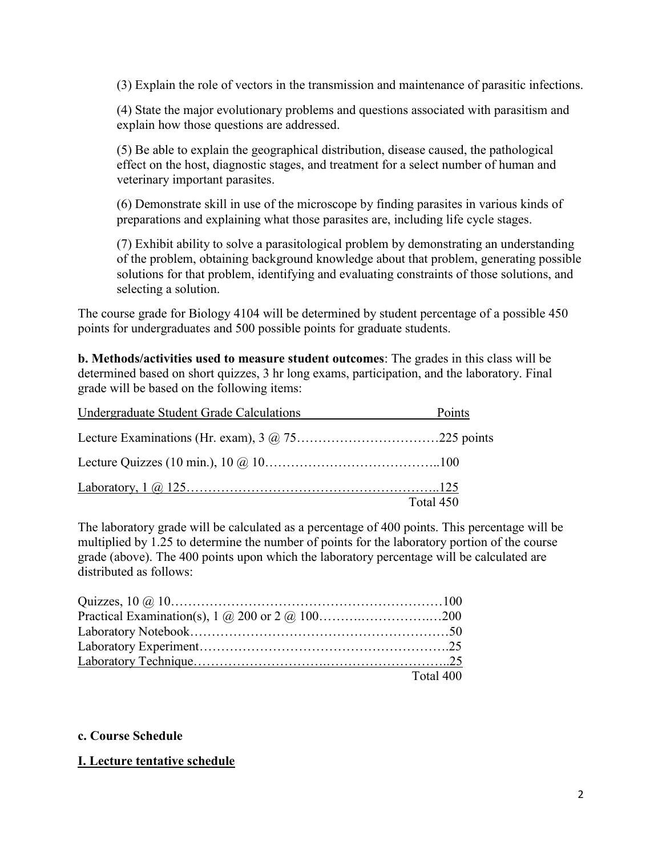(3) Explain the role of vectors in the transmission and maintenance of parasitic infections.

(4) State the major evolutionary problems and questions associated with parasitism and explain how those questions are addressed.

(5) Be able to explain the geographical distribution, disease caused, the pathological effect on the host, diagnostic stages, and treatment for a select number of human and veterinary important parasites.

(6) Demonstrate skill in use of the microscope by finding parasites in various kinds of preparations and explaining what those parasites are, including life cycle stages.

(7) Exhibit ability to solve a parasitological problem by demonstrating an understanding of the problem, obtaining background knowledge about that problem, generating possible solutions for that problem, identifying and evaluating constraints of those solutions, and selecting a solution.

The course grade for Biology 4104 will be determined by student percentage of a possible 450 points for undergraduates and 500 possible points for graduate students.

**b. Methods/activities used to measure student outcomes**: The grades in this class will be determined based on short quizzes, 3 hr long exams, participation, and the laboratory. Final grade will be based on the following items:

| Undergraduate Student Grade Calculations | Points    |
|------------------------------------------|-----------|
|                                          |           |
|                                          |           |
|                                          |           |
|                                          | Total 450 |

The laboratory grade will be calculated as a percentage of 400 points. This percentage will be multiplied by 1.25 to determine the number of points for the laboratory portion of the course grade (above). The 400 points upon which the laboratory percentage will be calculated are distributed as follows:

| Quizzes, $10 \, \textcircled{a} \, 10 \, \dots \, 100$ |           |
|--------------------------------------------------------|-----------|
|                                                        |           |
|                                                        |           |
|                                                        |           |
|                                                        |           |
|                                                        | Total 400 |

## **c. Course Schedule**

## **I. Lecture tentative schedule**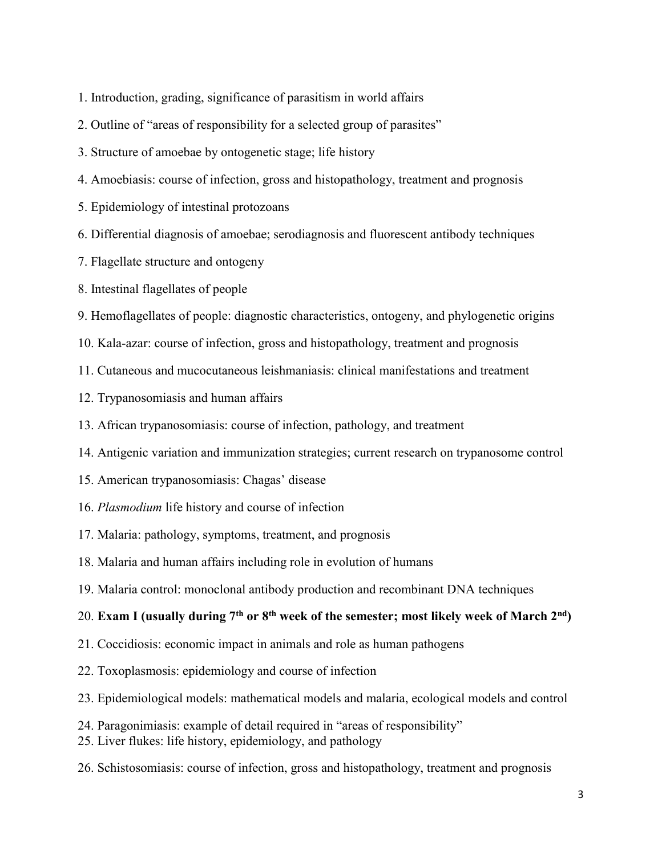- 1. Introduction, grading, significance of parasitism in world affairs
- 2. Outline of "areas of responsibility for a selected group of parasites"
- 3. Structure of amoebae by ontogenetic stage; life history
- 4. Amoebiasis: course of infection, gross and histopathology, treatment and prognosis
- 5. Epidemiology of intestinal protozoans
- 6. Differential diagnosis of amoebae; serodiagnosis and fluorescent antibody techniques
- 7. Flagellate structure and ontogeny
- 8. Intestinal flagellates of people
- 9. Hemoflagellates of people: diagnostic characteristics, ontogeny, and phylogenetic origins
- 10. Kala-azar: course of infection, gross and histopathology, treatment and prognosis
- 11. Cutaneous and mucocutaneous leishmaniasis: clinical manifestations and treatment
- 12. Trypanosomiasis and human affairs
- 13. African trypanosomiasis: course of infection, pathology, and treatment
- 14. Antigenic variation and immunization strategies; current research on trypanosome control
- 15. American trypanosomiasis: Chagas' disease
- 16. *Plasmodium* life history and course of infection
- 17. Malaria: pathology, symptoms, treatment, and prognosis
- 18. Malaria and human affairs including role in evolution of humans
- 19. Malaria control: monoclonal antibody production and recombinant DNA techniques

# 20. **Exam I (usually during 7th or 8th week of the semester; most likely week of March 2nd)**

- 21. Coccidiosis: economic impact in animals and role as human pathogens
- 22. Toxoplasmosis: epidemiology and course of infection
- 23. Epidemiological models: mathematical models and malaria, ecological models and control
- 24. Paragonimiasis: example of detail required in "areas of responsibility"
- 25. Liver flukes: life history, epidemiology, and pathology
- 26. Schistosomiasis: course of infection, gross and histopathology, treatment and prognosis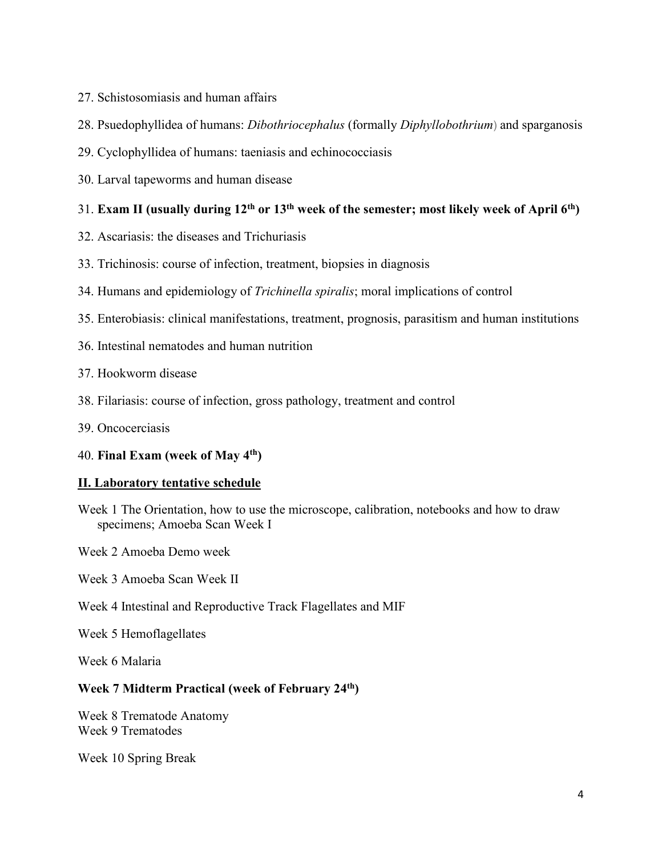- 27. Schistosomiasis and human affairs
- 28. Psuedophyllidea of humans: *Dibothriocephalus* (formally *Diphyllobothrium*) and sparganosis
- 29. Cyclophyllidea of humans: taeniasis and echinococciasis
- 30. Larval tapeworms and human disease

## 31. **Exam II (usually during 12th or 13th week of the semester; most likely week of April 6th)**

- 32. Ascariasis: the diseases and Trichuriasis
- 33. Trichinosis: course of infection, treatment, biopsies in diagnosis
- 34. Humans and epidemiology of *Trichinella spiralis*; moral implications of control
- 35. Enterobiasis: clinical manifestations, treatment, prognosis, parasitism and human institutions
- 36. Intestinal nematodes and human nutrition
- 37. Hookworm disease
- 38. Filariasis: course of infection, gross pathology, treatment and control
- 39. Oncocerciasis

## 40. **Final Exam (week of May 4th)**

## **II. Laboratory tentative schedule**

- Week 1 The Orientation, how to use the microscope, calibration, notebooks and how to draw specimens; Amoeba Scan Week I
- Week 2 Amoeba Demo week
- Week 3 Amoeba Scan Week II
- Week 4 Intestinal and Reproductive Track Flagellates and MIF

Week 5 Hemoflagellates

Week 6 Malaria

## **Week 7 Midterm Practical (week of February 24th)**

Week 8 Trematode Anatomy Week 9 Trematodes

Week 10 Spring Break